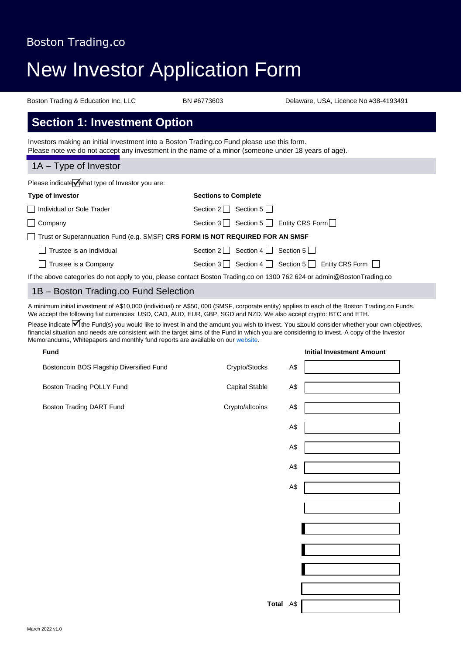# New Investor Application Form

Boston Trading & Education Inc, LLC BN #6773603 Delaware, USA, Licence No #38-4193491

## **Section 1: Investment Option**

Investors making an initial investment into a Boston Trading.co Fund please use this form. Please note we do not accept any investment in the name of a minor (someone under 18 years of age).

#### 1A – Type of Investor

Please indicate what type of Investor you are:

| <b>Type of Investor</b>                                                       | <b>Sections to Complete</b>                                                                                             |
|-------------------------------------------------------------------------------|-------------------------------------------------------------------------------------------------------------------------|
| Individual or Sole Trader                                                     | Section 5    <br>Section 2                                                                                              |
| $\Box$ Company                                                                | Section 3 Section 5 $\Box$ Entity CRS Form $\Box$                                                                       |
| Trust or Superannuation Fund (e.g. SMSF) CRS FORM IS NOT REQUIRED FOR AN SMSF |                                                                                                                         |
| Trustee is an Individual                                                      | Section 2   Section 4   Section 5                                                                                       |
| Trustee is a Company                                                          | Section 3   Section 4   Section 5   Entity CRS Form                                                                     |
|                                                                               | If the above categories do not apply to you, please contact Boston Trading.co on 1300 762 624 or admin@BostonTrading.co |

#### 1B – Boston Trading.co Fund Selection

A minimum initial investment of A\$10,000 (individual) or A\$50, 000 (SMSF, corporate entity) applies to each of the Boston Trading.co Funds. We accept the following fiat currencies: USD, CAD, AUD, EUR, GBP, SGD and NZD. We also accept crypto: BTC and ETH.

Please indicate  $\overline{M}$  the Fund(s) you would like to invest in and the amount you wish to invest. You should consider whether your own objectives, financial situation and needs are consistent with the target aims of the Fund in which you are considering to invest. A copy of the Investor Memorandums, Whitepapers and monthly fund reports are available on our [website.](http://www.bostontrading.co/)

| <b>Fund</b>                              |                        | <b>Initial Investment Amount</b> |
|------------------------------------------|------------------------|----------------------------------|
| Bostoncoin BOS Flagship Diversified Fund | Crypto/Stocks<br>A\$   |                                  |
| Boston Trading POLLY Fund                | A\$<br>Capital Stable  |                                  |
| Boston Trading DART Fund                 | Crypto/altcoins<br>A\$ |                                  |
|                                          | A\$                    |                                  |
|                                          | A\$                    |                                  |
|                                          | A\$                    |                                  |
|                                          | A\$                    |                                  |
|                                          |                        |                                  |
|                                          |                        |                                  |
|                                          |                        |                                  |
|                                          |                        |                                  |
|                                          |                        |                                  |
|                                          | Total A\$              |                                  |
|                                          |                        |                                  |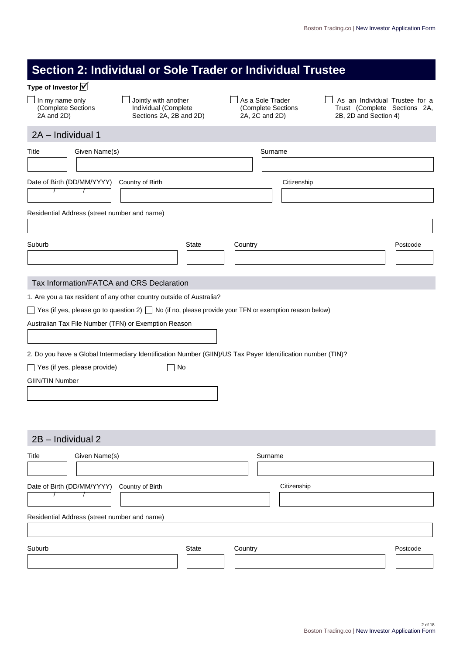|                                                      | Section 2: Individual or Sole Trader or Individual Trustee                                                        |                                                          |                                                                                         |
|------------------------------------------------------|-------------------------------------------------------------------------------------------------------------------|----------------------------------------------------------|-----------------------------------------------------------------------------------------|
| Type of Investor V                                   |                                                                                                                   |                                                          |                                                                                         |
| In my name only<br>(Complete Sections<br>2A and 2D)  | Jointly with another<br>Individual (Complete<br>Sections 2A, 2B and 2D)                                           | As a Sole Trader<br>(Complete Sections<br>2A, 2C and 2D) | As an Individual Trustee for a<br>Trust (Complete Sections 2A,<br>2B, 2D and Section 4) |
| 2A - Individual 1                                    |                                                                                                                   |                                                          |                                                                                         |
| Given Name(s)<br>Title                               |                                                                                                                   | Surname                                                  |                                                                                         |
|                                                      |                                                                                                                   |                                                          |                                                                                         |
| Date of Birth (DD/MM/YYYY)<br>$\prime$               | Country of Birth                                                                                                  | Citizenship                                              |                                                                                         |
| Residential Address (street number and name)         |                                                                                                                   |                                                          |                                                                                         |
|                                                      |                                                                                                                   |                                                          |                                                                                         |
| Suburb                                               | <b>State</b>                                                                                                      | Country                                                  | Postcode                                                                                |
| Tax Information/FATCA and CRS Declaration            |                                                                                                                   |                                                          |                                                                                         |
|                                                      | 1. Are you a tax resident of any other country outside of Australia?                                              |                                                          |                                                                                         |
|                                                      | $\Box$ Yes (if yes, please go to question 2) $\Box$ No (if no, please provide your TFN or exemption reason below) |                                                          |                                                                                         |
| Australian Tax File Number (TFN) or Exemption Reason |                                                                                                                   |                                                          |                                                                                         |
|                                                      |                                                                                                                   |                                                          |                                                                                         |
|                                                      | 2. Do you have a Global Intermediary Identification Number (GIIN)/US Tax Payer Identification number (TIN)?       |                                                          |                                                                                         |
| Yes (if yes, please provide)                         | No                                                                                                                |                                                          |                                                                                         |
| <b>GIIN/TIN Number</b>                               |                                                                                                                   |                                                          |                                                                                         |
|                                                      |                                                                                                                   |                                                          |                                                                                         |
|                                                      |                                                                                                                   |                                                          |                                                                                         |
|                                                      |                                                                                                                   |                                                          |                                                                                         |
| 2B - Individual 2                                    |                                                                                                                   |                                                          |                                                                                         |
| Given Name(s)<br>Title                               |                                                                                                                   | Surname                                                  |                                                                                         |
|                                                      |                                                                                                                   |                                                          |                                                                                         |
| Date of Birth (DD/MM/YYYY)                           | Country of Birth                                                                                                  | Citizenship                                              |                                                                                         |
|                                                      |                                                                                                                   |                                                          |                                                                                         |
| Residential Address (street number and name)         |                                                                                                                   |                                                          |                                                                                         |
|                                                      |                                                                                                                   |                                                          |                                                                                         |
| Suburb                                               | <b>State</b>                                                                                                      | Country                                                  | Postcode                                                                                |
|                                                      |                                                                                                                   |                                                          |                                                                                         |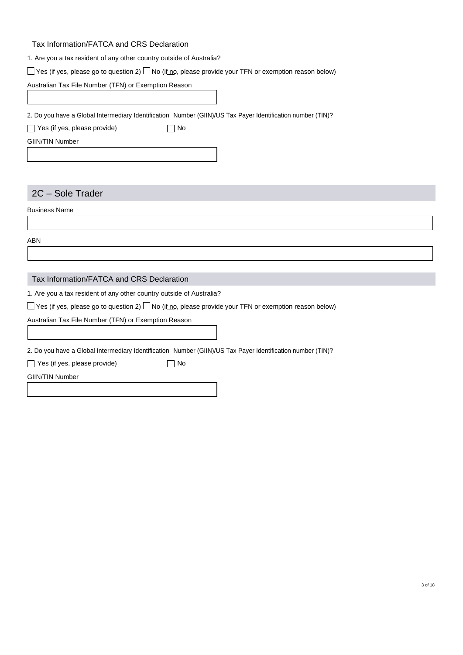#### Tax Information/FATCA and CRS Declaration

|  |  |  |  | 1. Are you a tax resident of any other country outside of Australia? |  |
|--|--|--|--|----------------------------------------------------------------------|--|
|  |  |  |  |                                                                      |  |

 $\Box$  Yes (if yes, please go to question 2)  $\Box$  No (if no, please provide your TFN or exemption reason below)

Australian Tax File Number (TFN) or Exemption Reason

2. Do you have a Global Intermediary Identification Number (GIIN)/US Tax Payer Identification number (TIN)?

| $\Box$ Yes (if yes, please provide) | $\Box$ No |
|-------------------------------------|-----------|
|                                     |           |

GIIN/TIN Number

### 2C – Sole Trader

Business Name

ABN

#### Tax Information/FATCA and CRS Declaration

1. Are you a tax resident of any other country outside of Australia?

 $\Box$  Yes (if yes, please go to question 2)  $\Box$  No (if no, please provide your TFN or exemption reason below)

Australian Tax File Number (TFN) or Exemption Reason

2. Do you have a Global Intermediary Identification Number (GIIN)/US Tax Payer Identification number (TIN)?

|  | $\Box$ Yes (if yes, please provide) | $\Box$ No |  |
|--|-------------------------------------|-----------|--|
|  |                                     |           |  |

GIIN/TIN Number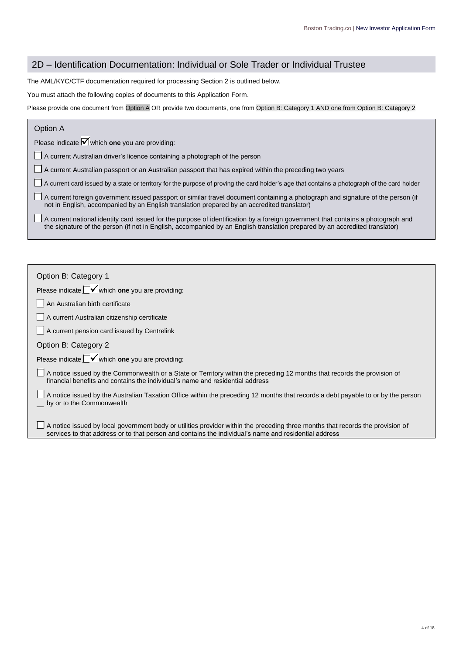#### 2D – Identification Documentation: Individual or Sole Trader or Individual Trustee

The AML/KYC/CTF documentation required for processing Section 2 is outlined below.

You must attach the following copies of documents to this Application Form.

Please provide one document from Option A OR provide two documents, one from Option B: Category 1 AND one from Option B: Category 2

#### Option A

Please indicate  $\blacktriangledown$  which **one** you are providing:

A current Australian driver's licence containing a photograph of the person

A current Australian passport or an Australian passport that has expired within the preceding two years

A current card issued by a state or territory for the purpose of proving the card holder's age that contains a photograph of the card holder

A current foreign government issued passport or similar travel document containing a photograph and signature of the person (if not in English, accompanied by an English translation prepared by an accredited translator)

A current national identity card issued for the purpose of identification by a foreign government that contains a photograph and the signature of the person (if not in English, accompanied by an English translation prepared by an accredited translator)

| Option B: Category 1                                                                                                                                                                                                                    |
|-----------------------------------------------------------------------------------------------------------------------------------------------------------------------------------------------------------------------------------------|
| Please indicate $\Box$ which one you are providing:                                                                                                                                                                                     |
| An Australian birth certificate                                                                                                                                                                                                         |
| A current Australian citizenship certificate                                                                                                                                                                                            |
| A current pension card issued by Centrelink                                                                                                                                                                                             |
| Option B: Category 2                                                                                                                                                                                                                    |
| Please indicate $\Box$ which one you are providing:                                                                                                                                                                                     |
| A notice issued by the Commonwealth or a State or Territory within the preceding 12 months that records the provision of<br>financial benefits and contains the individual's name and residential address                               |
| A notice issued by the Australian Taxation Office within the preceding 12 months that records a debt payable to or by the person<br>by or to the Commonwealth                                                                           |
| A notice issued by local government body or utilities provider within the preceding three months that records the provision of<br>services to that address or to that person and contains the individual's name and residential address |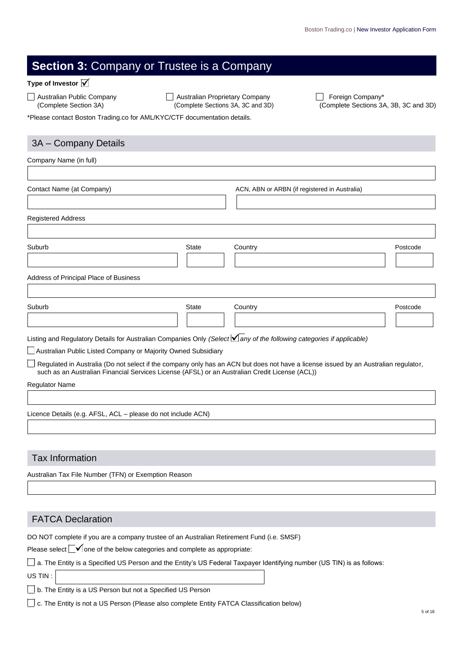## **Section 3:** Company or Trustee is a Company

#### **Type of Investor**

Australian Public Company **Australian Proprietary Company** Foreign Company\*

(Complete Section 3A) (Complete Sections 3A, 3C and 3D) (Complete Sections 3A, 3B, 3C and 3D)

\*Please contact Boston Trading.co for AML/KYC/CTF documentation details.

#### 3A – Company Details

| Company Name (in full)                                                                         |              |                                                                                                                                            |          |
|------------------------------------------------------------------------------------------------|--------------|--------------------------------------------------------------------------------------------------------------------------------------------|----------|
|                                                                                                |              |                                                                                                                                            |          |
| Contact Name (at Company)                                                                      |              | ACN, ABN or ARBN (if registered in Australia)                                                                                              |          |
|                                                                                                |              |                                                                                                                                            |          |
| <b>Registered Address</b>                                                                      |              |                                                                                                                                            |          |
|                                                                                                |              |                                                                                                                                            |          |
| Suburb                                                                                         | <b>State</b> | Country                                                                                                                                    | Postcode |
|                                                                                                |              |                                                                                                                                            |          |
| Address of Principal Place of Business                                                         |              |                                                                                                                                            |          |
| Suburb                                                                                         | <b>State</b> | Country                                                                                                                                    | Postcode |
|                                                                                                |              |                                                                                                                                            |          |
|                                                                                                |              | Listing and Regulatory Details for Australian Companies Only (Select <i>Iany of the following categories if applicable</i> )               |          |
| Australian Public Listed Company or Majority Owned Subsidiary                                  |              |                                                                                                                                            |          |
| such as an Australian Financial Services License (AFSL) or an Australian Credit License (ACL)) |              | $\Box$ Regulated in Australia (Do not select if the company only has an ACN but does not have a license issued by an Australian regulator, |          |
| <b>Regulator Name</b>                                                                          |              |                                                                                                                                            |          |

Licence Details (e.g. AFSL, ACL – please do not include ACN)

#### Tax Information

Australian Tax File Number (TFN) or Exemption Reason

#### FATCA Declaration

DO NOT complete if you are a company trustee of an Australian Retirement Fund (i.e. SMSF)

Please select  $\Box$  one of the below categories and complete as appropriate:

a. The Entity is a Specified US Person and the Entity's US Federal Taxpayer Identifying number (US TIN) is as follows:

US TIN :

b. The Entity is a US Person but not a Specified US Person

c. The Entity is not a US Person (Please also complete Entity FATCA Classification below)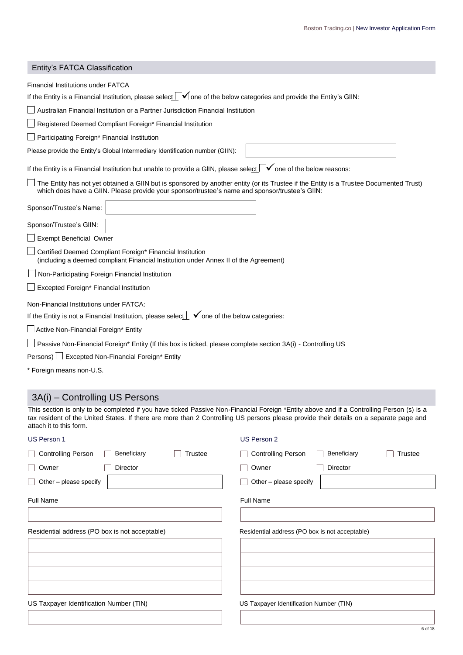| Entity's FATCA Classification                                                                                                                                                                                                                                                                                 |
|---------------------------------------------------------------------------------------------------------------------------------------------------------------------------------------------------------------------------------------------------------------------------------------------------------------|
| <b>Financial Institutions under FATCA</b>                                                                                                                                                                                                                                                                     |
| If the Entity is a Financial Institution, please select $\Box$ one of the below categories and provide the Entity's GIIN:                                                                                                                                                                                     |
| Australian Financial Institution or a Partner Jurisdiction Financial Institution                                                                                                                                                                                                                              |
| Registered Deemed Compliant Foreign* Financial Institution                                                                                                                                                                                                                                                    |
| Participating Foreign* Financial Institution                                                                                                                                                                                                                                                                  |
| Please provide the Entity's Global Intermediary Identification number (GIIN):                                                                                                                                                                                                                                 |
| If the Entity is a Financial Institution but unable to provide a GIIN, please select $\Box$ one of the below reasons:                                                                                                                                                                                         |
| The Entity has not yet obtained a GIIN but is sponsored by another entity (or its Trustee if the Entity is a Trustee Documented Trust)<br>which does have a GIIN. Please provide your sponsor/trustee's name and sponsor/trustee's GIIN:                                                                      |
| Sponsor/Trustee's Name:                                                                                                                                                                                                                                                                                       |
| Sponsor/Trustee's GIIN:                                                                                                                                                                                                                                                                                       |
| Exempt Beneficial Owner                                                                                                                                                                                                                                                                                       |
| Certified Deemed Compliant Foreign* Financial Institution<br>(including a deemed compliant Financial Institution under Annex II of the Agreement)                                                                                                                                                             |
| Non-Participating Foreign Financial Institution                                                                                                                                                                                                                                                               |
| Excepted Foreign* Financial Institution                                                                                                                                                                                                                                                                       |
| Non-Financial Institutions under FATCA:                                                                                                                                                                                                                                                                       |
| If the Entity is not a Financial Institution, please select $\Box$ one of the below categories:                                                                                                                                                                                                               |
| Active Non-Financial Foreign* Entity                                                                                                                                                                                                                                                                          |
| Passive Non-Financial Foreign* Entity (If this box is ticked, please complete section 3A(i) - Controlling US                                                                                                                                                                                                  |
| Persons) Excepted Non-Financial Foreign* Entity                                                                                                                                                                                                                                                               |
| * Foreign means non-U.S.                                                                                                                                                                                                                                                                                      |
|                                                                                                                                                                                                                                                                                                               |
| 3A(i) - Controlling US Persons                                                                                                                                                                                                                                                                                |
| This section is only to be completed if you have ticked Passive Non-Financial Foreign *Entity above and if a Controlling Person (s) is a<br>tax resident of the United States. If there are more than 2 Controlling US persons please provide their details on a separate page and<br>attach it to this form. |
| US Person 1<br><b>US Person 2</b>                                                                                                                                                                                                                                                                             |

| US Person 1                                                | US Person 2                                                |
|------------------------------------------------------------|------------------------------------------------------------|
| <b>Controlling Person</b><br>Beneficiary<br><b>Trustee</b> | <b>Controlling Person</b><br>Beneficiary<br><b>Trustee</b> |
| Owner<br>Director                                          | Owner<br>Director                                          |
| Other - please specify                                     | Other - please specify                                     |
| Full Name                                                  | <b>Full Name</b>                                           |
|                                                            |                                                            |
| Residential address (PO box is not acceptable)             | Residential address (PO box is not acceptable)             |
|                                                            |                                                            |
|                                                            |                                                            |
|                                                            |                                                            |
|                                                            |                                                            |
| US Taxpayer Identification Number (TIN)                    | US Taxpayer Identification Number (TIN)                    |
|                                                            |                                                            |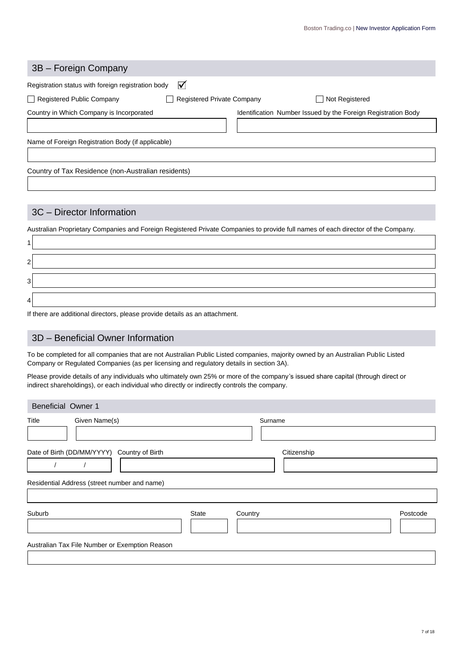| 3B - Foreign Company                                           |                                                               |
|----------------------------------------------------------------|---------------------------------------------------------------|
| ⊽<br>Registration status with foreign registration body        |                                                               |
| Registered Public Company<br><b>Registered Private Company</b> | Not Registered                                                |
| Country in Which Company is Incorporated                       | Identification Number Issued by the Foreign Registration Body |
|                                                                |                                                               |
| Name of Foreign Registration Body (if applicable)              |                                                               |
|                                                                |                                                               |
| Country of Tax Residence (non-Australian residents)            |                                                               |
|                                                                |                                                               |

### 3C – Director Information

 $\mathsf{r}$ 

Australian Proprietary Companies and Foreign Registered Private Companies to provide full names of each director of the Company.

| 2              |               |
|----------------|---------------|
| 3              |               |
| $\overline{4}$ |               |
|                | $\sim$ $\sim$ |

If there are additional directors, please provide details as an attachment.

## 3D – Beneficial Owner Information

To be completed for all companies that are not Australian Public Listed companies, majority owned by an Australian Public Listed Company or Regulated Companies (as per licensing and regulatory details in section 3A).

Please provide details of any individuals who ultimately own 25% or more of the company's issued share capital (through direct or indirect shareholdings), or each individual who directly or indirectly controls the company.

| <b>Beneficial Owner 1</b>                                                                      |       |             |          |
|------------------------------------------------------------------------------------------------|-------|-------------|----------|
| Title<br>Given Name(s)                                                                         |       | Surname     |          |
| Date of Birth (DD/MM/YYYY)<br>Country of Birth<br>Residential Address (street number and name) |       | Citizenship |          |
| Suburb<br>Australian Tax File Number or Exemption Reason                                       | State | Country     | Postcode |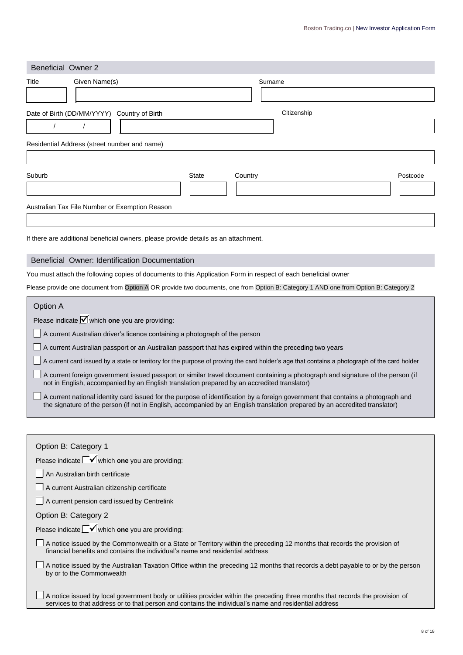| <b>Beneficial Owner 2</b>                                                                                                                                                              |              |             |          |
|----------------------------------------------------------------------------------------------------------------------------------------------------------------------------------------|--------------|-------------|----------|
| Given Name(s)<br>Title                                                                                                                                                                 |              | Surname     |          |
| Date of Birth (DD/MM/YYYY)<br>Country of Birth<br>Residential Address (street number and name)                                                                                         |              | Citizenship |          |
|                                                                                                                                                                                        |              |             |          |
| Suburb                                                                                                                                                                                 | <b>State</b> | Country     | Postcode |
| Australian Tax File Number or Exemption Reason                                                                                                                                         |              |             |          |
| If there are additional beneficial owners, please provide details as an attachment.                                                                                                    |              |             |          |
| Beneficial Owner: Identification Documentation                                                                                                                                         |              |             |          |
| You must attach the following copies of documents to this Application Form in respect of each beneficial owner                                                                         |              |             |          |
| Please provide one document from Option A OR provide two documents, one from Option B: Category 1 AND one from Option B: Category 2                                                    |              |             |          |
| Option A<br>Please indicate $\blacksquare$ which one you are providing:                                                                                                                |              |             |          |
| A current Australian driver's licence containing a photograph of the person<br>A current Australian passport or an Australian passport that has expired within the preceding two years |              |             |          |

A current card issued by a state or territory for the purpose of proving the card holder's age that contains a photograph of the card holder

| A current foreign government issued passport or similar travel document containing a photograph and signature of the person (if |
|---------------------------------------------------------------------------------------------------------------------------------|
| not in English, accompanied by an English translation prepared by an accredited translator)                                     |

| □ A current national identity card issued for the purpose of identification by a foreign government that contains a photograph and |
|------------------------------------------------------------------------------------------------------------------------------------|
| the signature of the person (if not in English, accompanied by an English translation prepared by an accredited translator)        |

| Option B: Category 1                                                                                                                                                                                                                    |
|-----------------------------------------------------------------------------------------------------------------------------------------------------------------------------------------------------------------------------------------|
| Please indicate $\Box$ which one you are providing:                                                                                                                                                                                     |
| An Australian birth certificate                                                                                                                                                                                                         |
| A current Australian citizenship certificate                                                                                                                                                                                            |
| A current pension card issued by Centrelink                                                                                                                                                                                             |
| Option B: Category 2                                                                                                                                                                                                                    |
| Please indicate $\Box$ which one you are providing:                                                                                                                                                                                     |
| A notice issued by the Commonwealth or a State or Territory within the preceding 12 months that records the provision of<br>financial benefits and contains the individual's name and residential address                               |
| A notice issued by the Australian Taxation Office within the preceding 12 months that records a debt payable to or by the person<br>by or to the Commonwealth                                                                           |
| A notice issued by local government body or utilities provider within the preceding three months that records the provision of<br>services to that address or to that person and contains the individual's name and residential address |
|                                                                                                                                                                                                                                         |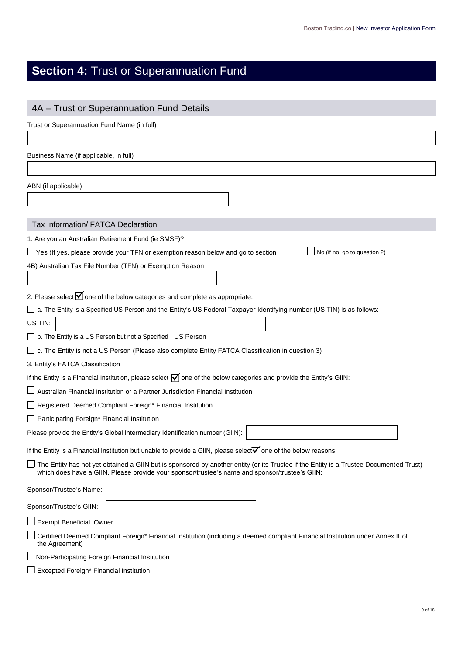## **Section 4: Trust or Superannuation Fund**

| 4A - Trust or Superannuation Fund Details                                                                                                                                                                                                |
|------------------------------------------------------------------------------------------------------------------------------------------------------------------------------------------------------------------------------------------|
| Trust or Superannuation Fund Name (in full)                                                                                                                                                                                              |
|                                                                                                                                                                                                                                          |
| Business Name (if applicable, in full)                                                                                                                                                                                                   |
|                                                                                                                                                                                                                                          |
| ABN (if applicable)                                                                                                                                                                                                                      |
| Tax Information/ FATCA Declaration                                                                                                                                                                                                       |
| 1. Are you an Australian Retirement Fund (ie SMSF)?                                                                                                                                                                                      |
| $\Box$ Yes (If yes, please provide your TFN or exemption reason below and go to section<br>No (if no, go to question 2)                                                                                                                  |
| 4B) Australian Tax File Number (TFN) or Exemption Reason                                                                                                                                                                                 |
|                                                                                                                                                                                                                                          |
| 2. Please select $\sqrt{\phantom{a}}$ one of the below categories and complete as appropriate:                                                                                                                                           |
| a. The Entity is a Specified US Person and the Entity's US Federal Taxpayer Identifying number (US TIN) is as follows:                                                                                                                   |
| US TIN:                                                                                                                                                                                                                                  |
| b. The Entity is a US Person but not a Specified US Person                                                                                                                                                                               |
| c. The Entity is not a US Person (Please also complete Entity FATCA Classification in question 3)                                                                                                                                        |
| 3. Entity's FATCA Classification                                                                                                                                                                                                         |
| If the Entity is a Financial Institution, please select $\bar{V}$ one of the below categories and provide the Entity's GIIN:                                                                                                             |
| Australian Financial Institution or a Partner Jurisdiction Financial Institution                                                                                                                                                         |
| Registered Deemed Compliant Foreign* Financial Institution                                                                                                                                                                               |
| Participating Foreign* Financial Institution                                                                                                                                                                                             |
| Please provide the Entity's Global Intermediary Identification number (GIIN):                                                                                                                                                            |
| If the Entity is a Financial Institution but unable to provide a GIIN, please select one of the below reasons:                                                                                                                           |
| The Entity has not yet obtained a GIIN but is sponsored by another entity (or its Trustee if the Entity is a Trustee Documented Trust)<br>which does have a GIIN. Please provide your sponsor/trustee's name and sponsor/trustee's GIIN: |
| Sponsor/Trustee's Name:                                                                                                                                                                                                                  |
| Sponsor/Trustee's GIIN:                                                                                                                                                                                                                  |
| Exempt Beneficial Owner                                                                                                                                                                                                                  |
| Certified Deemed Compliant Foreign* Financial Institution (including a deemed compliant Financial Institution under Annex II of<br>the Agreement)                                                                                        |
| Non-Participating Foreign Financial Institution                                                                                                                                                                                          |
| Excepted Foreign* Financial Institution                                                                                                                                                                                                  |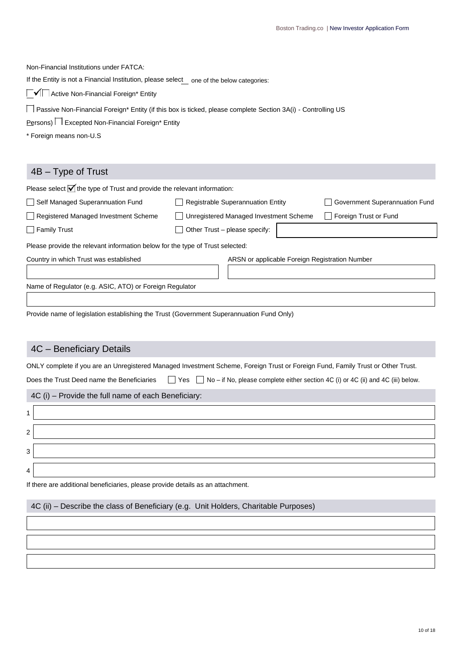Non-Financial Institutions under FATCA:

If the Entity is not a Financial Institution, please select one of the below categories:

 $\Box$  Active Non-Financial Foreign\* Entity

Passive Non-Financial Foreign\* Entity (if this box is ticked, please complete Section 3A(i) - Controlling US

Persons) Excepted Non-Financial Foreign\* Entity

\* Foreign means non-U.S

#### 4B – Type of Trust

| Please select $\mathbf{v}$ the type of Trust and provide the relevant information: |                                        |                                                |
|------------------------------------------------------------------------------------|----------------------------------------|------------------------------------------------|
| Self Managed Superannuation Fund                                                   | Registrable Superannuation Entity      | Government Superannuation Fund                 |
| Registered Managed Investment Scheme                                               | Unregistered Managed Investment Scheme | Foreign Trust or Fund                          |
| $\Box$ Family Trust                                                                | Other Trust - please specify:          |                                                |
| Please provide the relevant information below for the type of Trust selected:      |                                        |                                                |
| Country in which Trust was established                                             |                                        | ARSN or applicable Foreign Registration Number |
|                                                                                    |                                        |                                                |
| Name of Regulator (e.g. ASIC, ATO) or Foreign Regulator                            |                                        |                                                |
|                                                                                    |                                        |                                                |

Provide name of legislation establishing the Trust (Government Superannuation Fund Only)

#### 4C – Beneficiary Details

ONLY complete if you are an Unregistered Managed Investment Scheme, Foreign Trust or Foreign Fund, Family Trust or Other Trust.

Does the Trust Deed name the Beneficiaries  $\Box$  Yes  $\Box$  No – if No, please complete either section 4C (i) or 4C (ii) and 4C (iii) below.

4C (i) – Provide the full name of each Beneficiary:



If there are additional beneficiaries, please provide details as an attachment.

#### 4C (ii) – Describe the class of Beneficiary (e.g. Unit Holders, Charitable Purposes)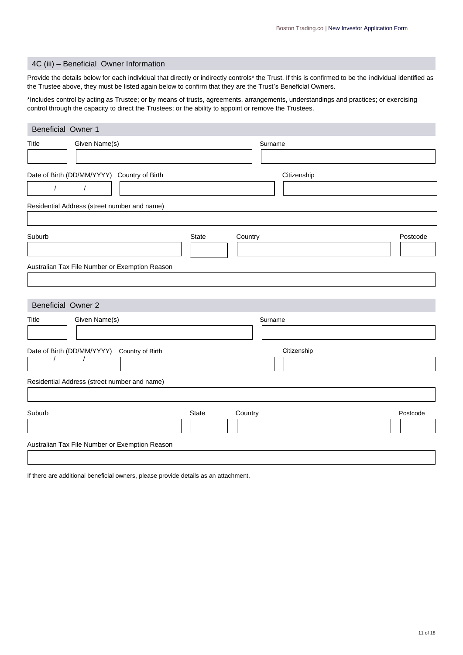#### 4C (iii) – Beneficial Owner Information

Provide the details below for each individual that directly or indirectly controls\* the Trust. If this is confirmed to be the individual identified as the Trustee above, they must be listed again below to confirm that they are the Trust's Beneficial Owners.

\*Includes control by acting as Trustee; or by means of trusts, agreements, arrangements, understandings and practices; or exercising control through the capacity to direct the Trustees; or the ability to appoint or remove the Trustees.

| Beneficial Owner 1                                                    |       |             |          |
|-----------------------------------------------------------------------|-------|-------------|----------|
| Given Name(s)<br>Title                                                |       | Surname     |          |
| Date of Birth (DD/MM/YYYY) Country of Birth<br>$\sqrt{2}$<br>$\prime$ |       | Citizenship |          |
| Residential Address (street number and name)                          |       |             |          |
| Suburb<br>Australian Tax File Number or Exemption Reason              | State | Country     | Postcode |
| <b>Beneficial Owner 2</b>                                             |       |             |          |
| Given Name(s)<br>Title                                                |       | Surname     |          |
| Date of Birth (DD/MM/YYYY)<br>Country of Birth<br>T                   |       | Citizenship |          |
| Residential Address (street number and name)                          |       |             |          |
| Suburb                                                                | State | Country     | Postcode |
| Australian Tax File Number or Exemption Reason                        |       |             |          |

If there are additional beneficial owners, please provide details as an attachment.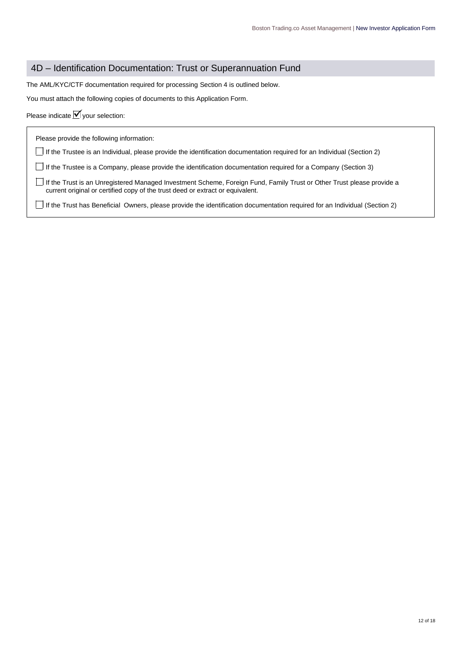#### 4D – Identification Documentation: Trust or Superannuation Fund

The AML/KYC/CTF documentation required for processing Section 4 is outlined below.

You must attach the following copies of documents to this Application Form.

| Please indicate $\vert \mathbf{v} \vert$ your selection: |  |  |  |
|----------------------------------------------------------|--|--|--|
|----------------------------------------------------------|--|--|--|

Please provide the following information:

If the Trustee is an Individual, please provide the identification documentation required for an Individual (Section 2)

If the Trustee is a Company, please provide the identification documentation required for a Company (Section 3)

If the Trust is an Unregistered Managed Investment Scheme, Foreign Fund, Family Trust or Other Trust please provide a current original or certified copy of the trust deed or extract or equivalent.

If the Trust has Beneficial Owners, please provide the identification documentation required for an Individual (Section 2)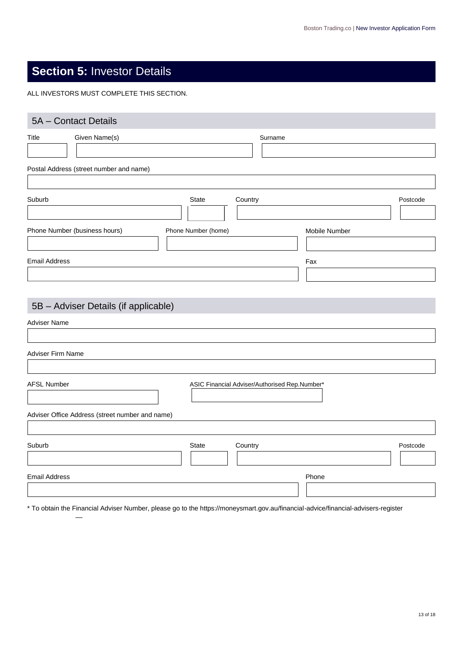## **Section 5:** Investor Details

ALL INVESTORS MUST COMPLETE THIS SECTION.

| 5A - Contact Details                            |                                               |               |
|-------------------------------------------------|-----------------------------------------------|---------------|
| Title<br>Given Name(s)                          | Surname                                       |               |
| Postal Address (street number and name)         |                                               |               |
| Suburb                                          | State<br>Country                              | Postcode      |
| Phone Number (business hours)                   | Phone Number (home)                           | Mobile Number |
| <b>Email Address</b>                            |                                               | Fax           |
| 5B - Adviser Details (if applicable)            |                                               |               |
| <b>Adviser Name</b>                             |                                               |               |
| <b>Adviser Firm Name</b>                        |                                               |               |
| <b>AFSL Number</b>                              | ASIC Financial Adviser/Authorised Rep.Number* |               |
| Adviser Office Address (street number and name) |                                               |               |
| Suburb                                          | State<br>Country                              | Postcode      |
| <b>Email Address</b>                            |                                               | Phone         |

\* To obtain the Financial Adviser Number, please go to the https://moneysmart.gov.au/financial-advice/financial-advisers-register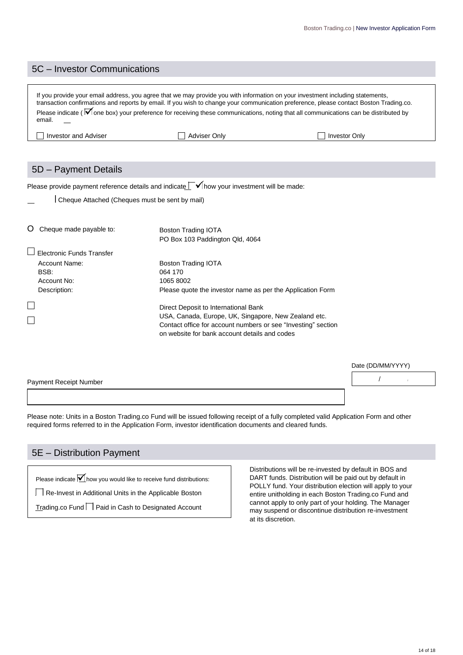#### 5C – Investor Communications

If you provide your email address, you agree that we may provide you with information on your investment including statements, transaction confirmations and reports by email. If you wish to change your communication preference, please contact Boston Trading.co. Please indicate ( $\bar{\mathbf{V}}$  one box) your preference for receiving these communications, noting that all communications can be distributed by email.

| Adviser<br>a Inve<br>and<br>estor | Jnlv | <sup>⊶</sup> ≏stor Only |
|-----------------------------------|------|-------------------------|
|                                   |      |                         |

#### 5D – Payment Details

Please provide payment reference details and indicate  $\Box$   $\checkmark$  how your investment will be made:

| Cheque Attached (Cheques must be sent by mail) |
|------------------------------------------------|
|------------------------------------------------|

| Cheque made payable to:   | <b>Boston Trading IOTA</b><br>PO Box 103 Paddington Qld, 4064                                                  |
|---------------------------|----------------------------------------------------------------------------------------------------------------|
| Electronic Funds Transfer |                                                                                                                |
| Account Name:             | <b>Boston Trading IOTA</b>                                                                                     |
| BSB:                      | 064 170                                                                                                        |
| Account No:               | 1065 8002                                                                                                      |
| Description:              | Please quote the investor name as per the Application Form                                                     |
|                           | Direct Deposit to International Bank                                                                           |
|                           | USA, Canada, Europe, UK, Singapore, New Zealand etc.                                                           |
|                           | Contact office for account numbers or see "Investing" section<br>on website for bank account details and codes |

|                               | Date (DD/MM/YYYY) |  |
|-------------------------------|-------------------|--|
| <b>Payment Receipt Number</b> |                   |  |
|                               |                   |  |

Please note: Units in a Boston Trading.co Fund will be issued following receipt of a fully completed valid Application Form and other required forms referred to in the Application Form, investor identification documents and cleared funds.

#### 5E – Distribution Payment

Please indicate  $\blacksquare$  how you would like to receive fund distributions:

Re-Invest in Additional Units in the Applicable Boston

Trading.co Fund **Paid in Cash to Designated Account** 

Distributions will be re-invested by default in BOS and DART funds. Distribution will be paid out by default in POLLY fund. Your distribution election will apply to your entire unitholding in each Boston Trading.co Fund and cannot apply to only part of your holding. The Manager may suspend or discontinue distribution re-investment at its discretion.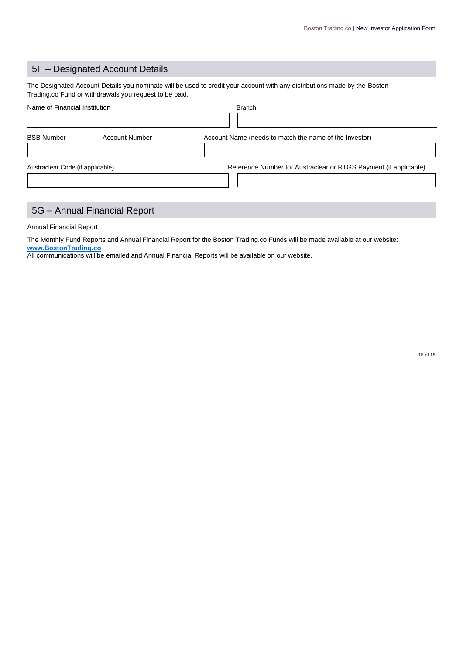## 5F – Designated Account Details

The Designated Account Details you nominate will be used to credit your account with any distributions made by the Boston Trading.co Fund or withdrawals you request to be paid.

| Name of Financial Institution    |                       | <b>Branch</b>                                                    |
|----------------------------------|-----------------------|------------------------------------------------------------------|
|                                  |                       |                                                                  |
| <b>BSB Number</b>                | <b>Account Number</b> | Account Name (needs to match the name of the Investor)           |
| Austraclear Code (if applicable) |                       | Reference Number for Austraclear or RTGS Payment (if applicable) |
|                                  |                       |                                                                  |

## 5G – Annual Financial Report

Annual Financial Report

The Monthly Fund Reports and Annual Financial Report for the Boston Trading.co Funds will be made available at our website: **[www.BostonTrading.co](http://www.bostontrading.co/)**

All communications will be emailed and Annual Financial Reports will be available on our website.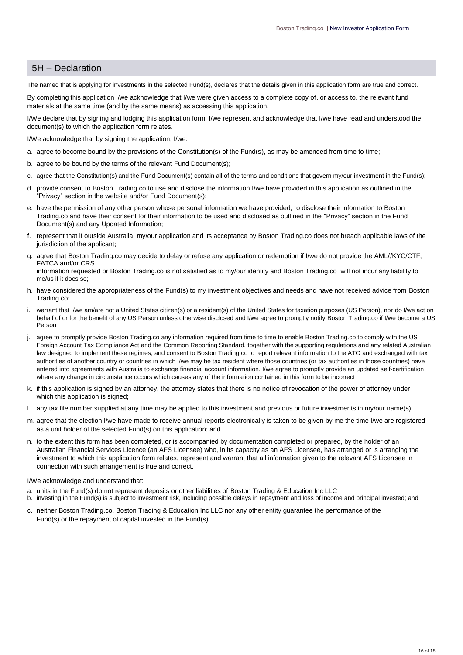#### 5H – Declaration

The named that is applying for investments in the selected Fund(s), declares that the details given in this application form are true and correct.

By completing this application I/we acknowledge that I/we were given access to a complete copy of, or access to, the relevant fund materials at the same time (and by the same means) as accessing this application.

I/We declare that by signing and lodging this application form, I/we represent and acknowledge that I/we have read and understood the document(s) to which the application form relates.

I/We acknowledge that by signing the application, I/we:

- a. agree to become bound by the provisions of the Constitution(s) of the Fund(s), as may be amended from time to time;
- b. agree to be bound by the terms of the relevant Fund Document(s);
- c. agree that the Constitution(s) and the Fund Document(s) contain all of the terms and conditions that govern my/our investment in the Fund(s);
- d. provide consent to Boston Trading.co to use and disclose the information I/we have provided in this application as outlined in the "Privacy" section in the website and/or Fund Document(s);
- e. have the permission of any other person whose personal information we have provided, to disclose their information to Boston Trading.co and have their consent for their information to be used and disclosed as outlined in the "Privacy" section in the Fund Document(s) and any Updated Information;
- f. represent that if outside Australia, my/our application and its acceptance by Boston Trading.co does not breach applicable laws of the jurisdiction of the applicant:
- g. agree that Boston Trading.co may decide to delay or refuse any application or redemption if I/we do not provide the AML//KYC/CTF, FATCA and/or CRS

information requested or Boston Trading.co is not satisfied as to my/our identity and Boston Trading.co will not incur any liability to me/us if it does so;

- h. have considered the appropriateness of the Fund(s) to my investment objectives and needs and have not received advice from Boston Trading.co;
- warrant that I/we am/are not a United States citizen(s) or a resident(s) of the United States for taxation purposes (US Person), nor do I/we act on behalf of or for the benefit of any US Person unless otherwise disclosed and I/we agree to promptly notify Boston Trading.co if I/we become a US Person
- j. agree to promptly provide Boston Trading.co any information required from time to time to enable Boston Trading.co to comply with the US Foreign Account Tax Compliance Act and the Common Reporting Standard, together with the supporting regulations and any related Australian law designed to implement these regimes, and consent to Boston Trading.co to report relevant information to the ATO and exchanged with tax authorities of another country or countries in which I/we may be tax resident where those countries (or tax authorities in those countries) have entered into agreements with Australia to exchange financial account information. I/we agree to promptly provide an updated self-certification where any change in circumstance occurs which causes any of the information contained in this form to be incorrect
- k. if this application is signed by an attorney, the attorney states that there is no notice of revocation of the power of attorney under which this application is signed;
- l. any tax file number supplied at any time may be applied to this investment and previous or future investments in my/our name(s)
- m. agree that the election I/we have made to receive annual reports electronically is taken to be given by me the time I/we are registered as a unit holder of the selected Fund(s) on this application; and
- n. to the extent this form has been completed, or is accompanied by documentation completed or prepared, by the holder of an Australian Financial Services Licence (an AFS Licensee) who, in its capacity as an AFS Licensee, has arranged or is arranging the investment to which this application form relates, represent and warrant that all information given to the relevant AFS Licensee in connection with such arrangement is true and correct.

#### I/We acknowledge and understand that:

- a. units in the Fund(s) do not represent deposits or other liabilities of Boston Trading & Education Inc LLC
- b. investing in the Fund(s) is subject to investment risk, including possible delays in repayment and loss of income and principal invested; and
- c. neither Boston Trading.co, Boston Trading & Education Inc LLC nor any other entity guarantee the performance of the Fund(s) or the repayment of capital invested in the Fund(s).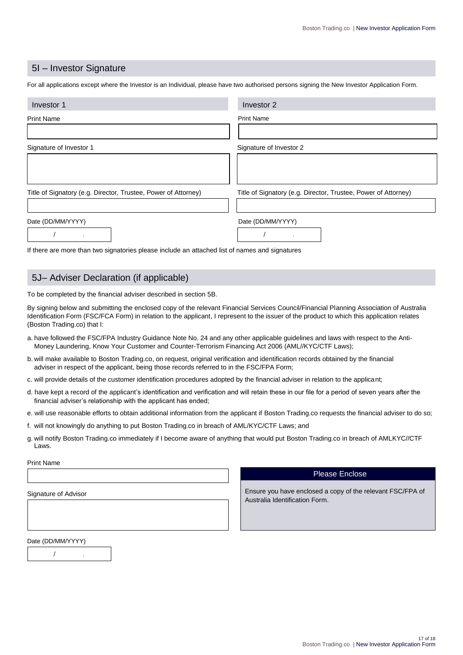#### 5I – Investor Signature

For all applications except where the Investor is an Individual, please have two authorised persons signing the New Investor Application Form.

| Investor 1                                                                                     | Investor 2                                                     |  |
|------------------------------------------------------------------------------------------------|----------------------------------------------------------------|--|
| <b>Print Name</b>                                                                              | <b>Print Name</b>                                              |  |
|                                                                                                |                                                                |  |
| Signature of Investor 1                                                                        | Signature of Investor 2                                        |  |
|                                                                                                |                                                                |  |
|                                                                                                |                                                                |  |
| Title of Signatory (e.g. Director, Trustee, Power of Attorney)                                 | Title of Signatory (e.g. Director, Trustee, Power of Attorney) |  |
|                                                                                                |                                                                |  |
| Date (DD/MM/YYYY)                                                                              | Date (DD/MM/YYYY)                                              |  |
|                                                                                                |                                                                |  |
| If there are more than two signatories please include an attached list of names and signatures |                                                                |  |

#### 5J– Adviser Declaration (if applicable)

To be completed by the financial adviser described in section 5B.

By signing below and submitting the enclosed copy of the relevant Financial Services Council/Financial Planning Association of Australia Identification Form (FSC/FCA Form) in relation to the applicant, I represent to the issuer of the product to which this application relates (Boston Trading.co) that I:

- a. have followed the FSC/FPA Industry Guidance Note No. 24 and any other applicable guidelines and laws with respect to the Anti-Money Laundering, Know Your Customer and Counter-Terrorism Financing Act 2006 (AML//KYC/CTF Laws);
- b. will make available to Boston Trading.co, on request, original verification and identification records obtained by the financial adviser in respect of the applicant, being those records referred to in the FSC/FPA Form;
- c. will provide details of the customer identification procedures adopted by the financial adviser in relation to the applicant;
- d. have kept a record of the applicant's identification and verification and will retain these in our file for a period of seven years after the financial adviser's relationship with the applicant has ended;
- e. will use reasonable efforts to obtain additional information from the applicant if Boston Trading.co requests the financial adviser to do so;
- f. will not knowingly do anything to put Boston Trading.co in breach of AML/KYC/CTF Laws; and
- g. will notify Boston Trading.co immediately if I become aware of anything that would put Boston Trading.co in breach of AMLKYC//CTF Laws.

#### Print Name

Signature of Advisor

#### Please Enclose

Ensure you have enclosed a copy of the relevant FSC/FPA of Australia Identification Form.

Date (DD/MM/YYYY)